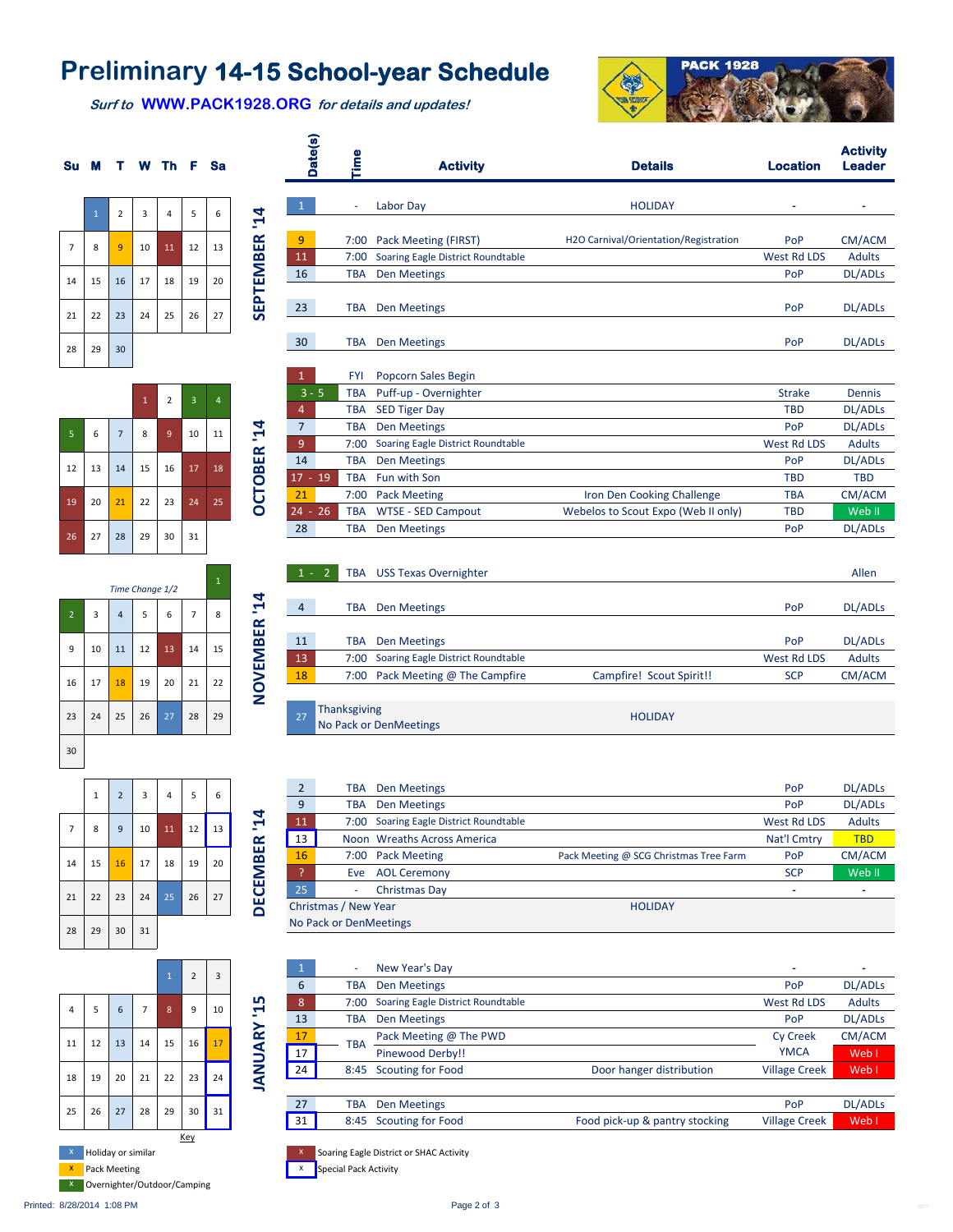## **Preliminary 14-15 School-year Schedule**

**Date(s)**

 $\bullet$ 

 **Surf to WWW.PACK1928.ORG for details and updates!**

**OCTOBER '14**

OCTOBER<sup>'14</sup>

**DECEMBER '14**

DECEMBER '14



**Activity** 



|    |    |                | $\mathbf 1$ | $\mathbf 2$    | $\overline{\mathbf{3}}$ | $\overline{4}$ |
|----|----|----------------|-------------|----------------|-------------------------|----------------|
| 5  | 6  | $\overline{7}$ | 8           | $\overline{9}$ | 10                      | 11             |
| 12 | 13 | 14             | 15          | 16             | 17                      | 18             |
| 19 | 20 | 21             | 22          | 23             | 24                      | 25             |
| 26 | 27 | 28             | 29          | 30             | 31                      |                |



|                | $\mathbf 1$ | $\overline{2}$ | 3  | 4  | 5  | 6  |
|----------------|-------------|----------------|----|----|----|----|
| $\overline{7}$ | 8           | 9              | 10 | 11 | 12 | 13 |
| 14             | 15          | 16             | 17 | 18 | 19 | 20 |
| 21             | 22          | 23             | 24 | 25 | 26 | 27 |
| 28             | 29          | 30             | 31 |    |    |    |



| ā              | 튼<br><b>Activity</b> |                                   | <b>Details</b>                        | <b>Location</b>    | <b>Leader</b>  |  |
|----------------|----------------------|-----------------------------------|---------------------------------------|--------------------|----------------|--|
| 1              | ÷                    | Labor Day                         | <b>HOLIDAY</b>                        |                    |                |  |
| 9              | 7:00                 | Pack Meeting (FIRST)              | H2O Carnival/Orientation/Registration | PoP                | CM/ACM         |  |
| 11             | 7:00                 | Soaring Eagle District Roundtable |                                       | West Rd LDS        | <b>Adults</b>  |  |
| 16             | <b>TBA</b>           | <b>Den Meetings</b>               |                                       | PoP                | <b>DL/ADLs</b> |  |
| 23             | TBA                  | <b>Den Meetings</b>               |                                       | PoP                | <b>DL/ADLs</b> |  |
| 30             | <b>TBA</b>           | <b>Den Meetings</b>               |                                       | PoP                | <b>DL/ADLs</b> |  |
| $\mathbf{1}$   | <b>FYI</b>           | <b>Popcorn Sales Begin</b>        |                                       |                    |                |  |
| $3 - 5$        | <b>TBA</b>           | Puff-up - Overnighter             |                                       | <b>Strake</b>      | <b>Dennis</b>  |  |
| 4              | <b>TBA</b>           | <b>SED Tiger Day</b>              |                                       | <b>TBD</b>         | <b>DL/ADLs</b> |  |
| $\overline{7}$ | <b>TBA</b>           | <b>Den Meetings</b>               |                                       | PoP                | <b>DL/ADLs</b> |  |
| 9              | 7:00                 | Soaring Eagle District Roundtable |                                       | <b>West Rd LDS</b> | <b>Adults</b>  |  |
| 14             | <b>TBA</b>           | <b>Den Meetings</b>               |                                       | PoP                | <b>DL/ADLs</b> |  |
| $17 - 19$      | <b>TBA</b>           | Fun with Son                      |                                       | <b>TBD</b>         | <b>TBD</b>     |  |
| 21             | 7:00                 | <b>Pack Meeting</b>               | Iron Den Cooking Challenge            | <b>TBA</b>         | CM/ACM         |  |
| $24 - 26$      | <b>TBA</b>           | <b>WTSE - SED Campout</b>         | Webelos to Scout Expo (Web II only)   | <b>TBD</b>         | Web II         |  |
| 28             | <b>TBA</b>           | <b>Den Meetings</b>               |                                       | PoP                | <b>DL/ADLs</b> |  |

|              |                | $1 - 2$ |                     | TBA USS Texas Overnighter         |                          |             | Allen               |
|--------------|----------------|---------|---------------------|-----------------------------------|--------------------------|-------------|---------------------|
|              |                |         |                     |                                   |                          |             |                     |
| $\mathbf{F}$ | $\overline{4}$ |         | TBA                 | <b>Den Meetings</b>               |                          | PoP         | DL/ADL <sub>S</sub> |
| 띥            |                |         |                     |                                   |                          |             |                     |
| B            | 11             |         | TBA                 | <b>Den Meetings</b>               |                          | PoP         | DL/ADL <sub>S</sub> |
|              | 13             |         | 7:00                | Soaring Eagle District Roundtable |                          | West Rd LDS | <b>Adults</b>       |
| NOVEM        | 18             |         | 7:00                | Pack Meeting @ The Campfire       | Campfire! Scout Spirit!! | <b>SCP</b>  | CM/ACM              |
|              |                |         |                     |                                   |                          |             |                     |
|              | 27             |         | <b>Thanksgiving</b> | No Pack or DenMeetings            | <b>HOLIDAY</b>           |             |                     |

| $\overline{2}$ | TBA                    | Den Meetings                      |                                        | PoP         | <b>DL/ADLs</b> |
|----------------|------------------------|-----------------------------------|----------------------------------------|-------------|----------------|
| 9              | TBA                    | Den Meetings                      |                                        | PoP         | <b>DL/ADLs</b> |
| 11             | 7:00                   | Soaring Eagle District Roundtable |                                        | West Rd LDS | <b>Adults</b>  |
| 13             |                        | Noon Wreaths Across America       |                                        | Nat'l Cmtry | <b>TBD</b>     |
| 16             | 7:00                   | <b>Pack Meeting</b>               | Pack Meeting @ SCG Christmas Tree Farm | PoP         | CM/ACM         |
| P              | Eve                    | <b>AOL Ceremony</b>               |                                        | <b>SCP</b>  | Web II         |
| 25             | ٠                      | Christmas Day                     |                                        | -           |                |
|                | Christmas / New Year   |                                   | <b>HOLIDAY</b>                         |             |                |
|                | No Pack or DenMeetings |                                   |                                        |             |                |

|                                    | $\mathbf{1}$ | ٠          | New Year's Day                    |                                | -                    |                     |
|------------------------------------|--------------|------------|-----------------------------------|--------------------------------|----------------------|---------------------|
|                                    | 6            | TBA        | Den Meetings                      |                                | PoP                  | <b>DL/ADLs</b>      |
| <b>LO</b><br>$\blacktriangleright$ | 8            | 7:00       | Soaring Eagle District Roundtable |                                | West Rd LDS          | <b>Adults</b>       |
|                                    | 13           | TBA        | Den Meetings                      |                                | PoP                  | DL/ADL <sub>S</sub> |
| $\approx$                          | 17           | <b>TBA</b> | Pack Meeting @ The PWD            |                                | <b>Cy Creek</b>      | CM/ACM              |
| $\mathsf{S}$                       | 17           |            | Pinewood Derby!!                  |                                | <b>YMCA</b>          | Web I               |
| Š                                  | 24           | 8:45       | <b>Scouting for Food</b>          | Door hanger distribution       | <b>Village Creek</b> | Web I               |
|                                    |              |            |                                   |                                |                      |                     |
|                                    | 27           | TBA        | <b>Den Meetings</b>               |                                | PoP                  | <b>DL/ADLs</b>      |
|                                    | 31           | 8:45       | Scouting for Food                 | Food pick-up & pantry stocking | <b>Village Creek</b> | Web I               |

Soaring Eagle District or SHAC Activity

**Special Pack Activity**